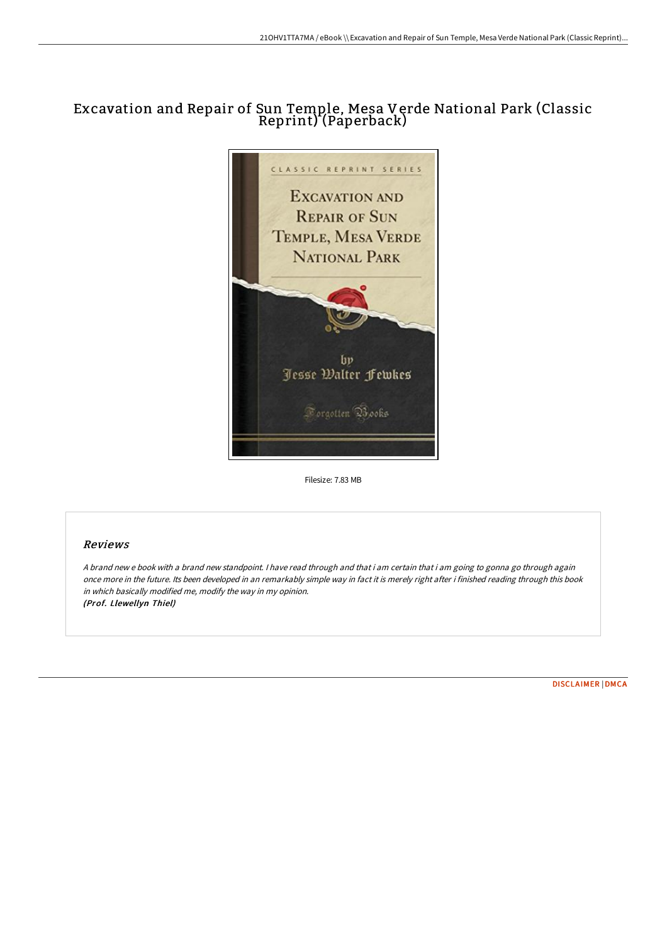# Excavation and Repair of Sun Temple, Mesa Verde National Park (Classic Reprint) (Paperback)



Filesize: 7.83 MB

# Reviews

A brand new <sup>e</sup> book with <sup>a</sup> brand new standpoint. I have read through and that i am certain that i am going to gonna go through again once more in the future. Its been developed in an remarkably simple way in fact it is merely right after i finished reading through this book in which basically modified me, modify the way in my opinion. (Prof. Llewellyn Thiel)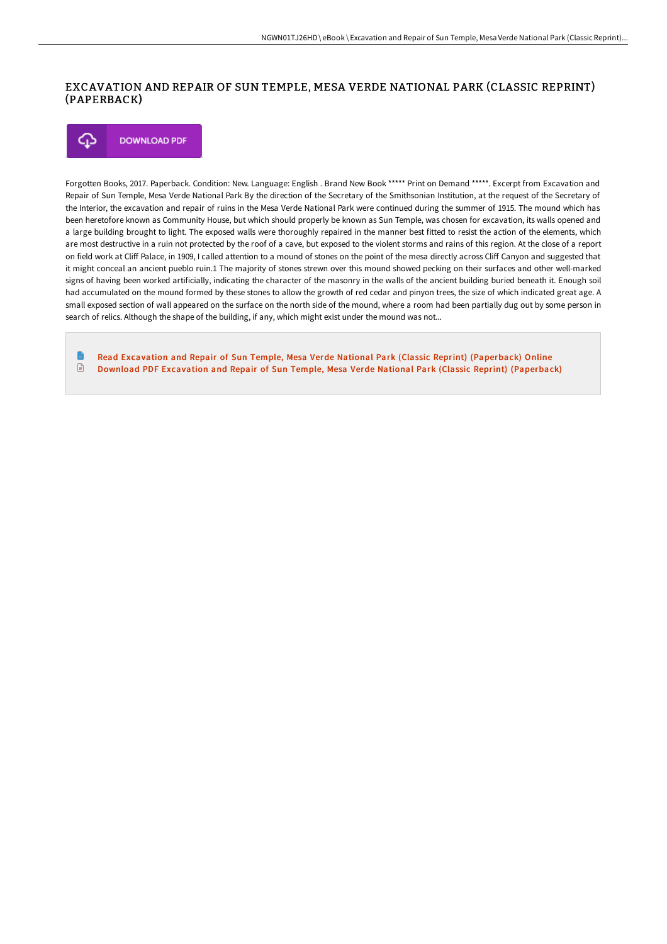### EXCAVATION AND REPAIR OF SUN TEMPLE, MESA VERDE NATIONAL PARK (CLASSIC REPRINT) (PAPERBACK)

#### **DOWNLOAD PDF** Φ

Forgotten Books, 2017. Paperback. Condition: New. Language: English . Brand New Book \*\*\*\*\* Print on Demand \*\*\*\*\*. Excerpt from Excavation and Repair of Sun Temple, Mesa Verde National Park By the direction of the Secretary of the Smithsonian Institution, at the request of the Secretary of the Interior, the excavation and repair of ruins in the Mesa Verde National Park were continued during the summer of 1915. The mound which has been heretofore known as Community House, but which should properly be known as Sun Temple, was chosen for excavation, its walls opened and a large building brought to light. The exposed walls were thoroughly repaired in the manner best fitted to resist the action of the elements, which are most destructive in a ruin not protected by the roof of a cave, but exposed to the violent storms and rains of this region. At the close of a report on field work at Cliff Palace, in 1909, I called attention to a mound of stones on the point of the mesa directly across Cliff Canyon and suggested that it might conceal an ancient pueblo ruin.1 The majority of stones strewn over this mound showed pecking on their surfaces and other well-marked signs of having been worked artificially, indicating the character of the masonry in the walls of the ancient building buried beneath it. Enough soil had accumulated on the mound formed by these stones to allow the growth of red cedar and pinyon trees, the size of which indicated great age. A small exposed section of wall appeared on the surface on the north side of the mound, where a room had been partially dug out by some person in search of relics. Although the shape of the building, if any, which might exist under the mound was not...

Read Excavation and Repair of Sun Temple, Mesa Verde National Park (Classic Reprint) [\(Paperback\)](http://bookera.tech/excavation-and-repair-of-sun-temple-mesa-verde-n.html) Online  $\begin{tabular}{|c|c|} \hline \quad \quad & \quad \quad & \quad \quad \\ \hline \end{tabular}$ Download PDF Excavation and Repair of Sun Temple, Mesa Verde National Park (Classic Reprint) [\(Paperback\)](http://bookera.tech/excavation-and-repair-of-sun-temple-mesa-verde-n.html)